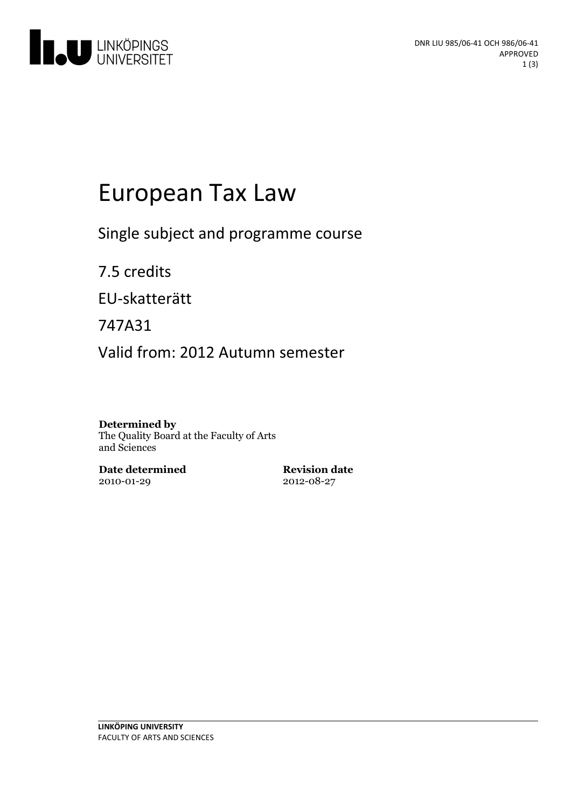

# European Tax Law

Single subject and programme course

7.5 credits

EU-skatterätt

747A31

Valid from: 2012 Autumn semester

#### **Determined by**

The Quality Board at the Faculty of Arts and Sciences

**Date determined** 2010-01-29

**Revision date** 2012-08-27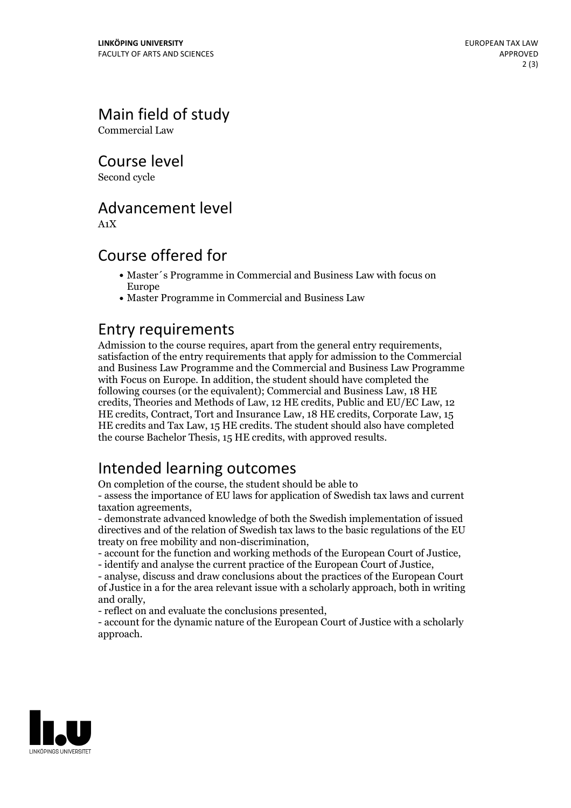# Main field of study

Commercial Law

Course level

Second cycle

#### Advancement level

A1X

#### Course offered for

- Master´s Programme in Commercial and Business Law with focus on Europe
- Master Programme in Commercial and Business Law

**Entry requirements**<br>Admission to the course requires, apart from the general entry requirements. satisfaction of the entry requirements that apply for admission to the Commercial and Business Law Programme and the Commercial and Business Law Programme with Focus on Europe. In addition, the student should have completed the following courses (or the equivalent); Commercial and Business Law, 18 HE credits, Theories and Methods of Law, 12 HE credits, Public and EU/EC Law, 12 HE credits, Contract, Tort and Insurance Law, 18 HE credits, Corporate Law, 15 HE credits and Tax Law, 15 HE credits. The student should also have completed the course Bachelor Thesis, 15 HE credits, with approved results.

# Intended learning outcomes

On completion of the course, the student should be able to

- assess the importance of EU laws for application of Swedish tax laws and current taxation agreements,<br>- demonstrate advanced knowledge of both the Swedish implementation of issued

directives and of the relation of Swedish tax laws to the basic regulations of the EU

- account for the function and working methods of the European Court of Justice,<br>- identify and analyse the current practice of the European Court of Justice,<br>- analyse, discuss and draw conclusions about the practices of

of Justice in a for the area relevant issue with a scholarly approach, both in writing and orally, - reflect on and evaluate the conclusions presented, - account for the dynamic nature ofthe European Court of Justice with <sup>a</sup> scholarly

approach.